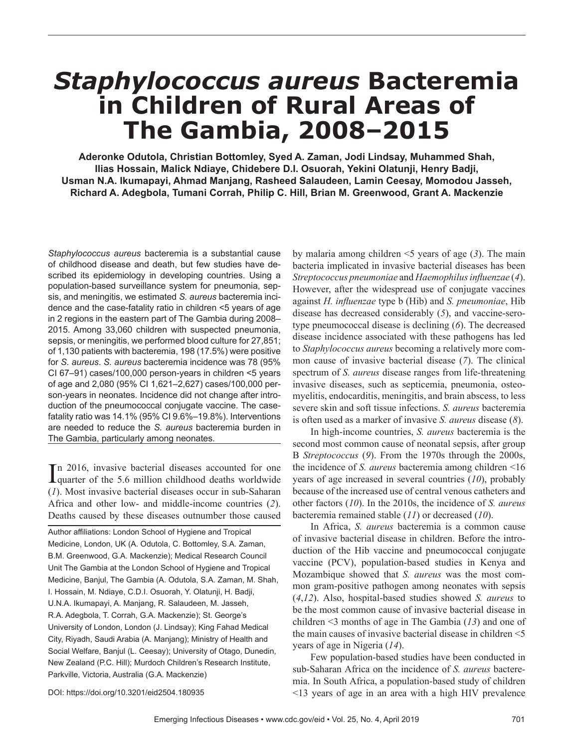# *Staphylococcus aureus* **Bacteremia in Children of Rural Areas of The Gambia, 2008–2015**

**Aderonke Odutola, Christian Bottomley, Syed A. Zaman, Jodi Lindsay, Muhammed Shah, Ilias Hossain, Malick Ndiaye, Chidebere D.I. Osuorah, Yekini Olatunji, Henry Badji, Usman N.A. Ikumapayi, Ahmad Manjang, Rasheed Salaudeen, Lamin Ceesay, Momodou Jasseh, Richard A. Adegbola, Tumani Corrah, Philip C. Hill, Brian M. Greenwood, Grant A. Mackenzie**

*Staphylococcus aureus* bacteremia is a substantial cause of childhood disease and death, but few studies have described its epidemiology in developing countries. Using a population-based surveillance system for pneumonia, sepsis, and meningitis, we estimated *S. aureus* bacteremia incidence and the case-fatality ratio in children <5 years of age in 2 regions in the eastern part of The Gambia during 2008– 2015. Among 33,060 children with suspected pneumonia, sepsis, or meningitis, we performed blood culture for 27,851; of 1,130 patients with bacteremia, 198 (17.5%) were positive for *S. aureus*. *S. aureus* bacteremia incidence was 78 (95% CI 67–91) cases/100,000 person-years in children <5 years of age and 2,080 (95% CI 1,621–2,627) cases/100,000 person-years in neonates. Incidence did not change after introduction of the pneumococcal conjugate vaccine. The casefatality ratio was 14.1% (95% CI 9.6%–19.8%). Interventions are needed to reduce the *S. aureus* bacteremia burden in The Gambia, particularly among neonates.

In 2016, invasive bacterial diseases accounted for one<br>quarter of the 5.6 million childhood deaths worldwide n 2016, invasive bacterial diseases accounted for one (*1*). Most invasive bacterial diseases occur in sub-Saharan Africa and other low- and middle-income countries (*2*). Deaths caused by these diseases outnumber those caused

Author affiliations: London School of Hygiene and Tropical Medicine, London, UK (A. Odutola, C. Bottomley, S.A. Zaman, B.M. Greenwood, G.A. Mackenzie); Medical Research Council Unit The Gambia at the London School of Hygiene and Tropical Medicine, Banjul, The Gambia (A. Odutola, S.A. Zaman, M. Shah, I. Hossain, M. Ndiaye, C.D.I. Osuorah, Y. Olatunji, H. Badji, U.N.A. Ikumapayi, A. Manjang, R. Salaudeen, M. Jasseh, R.A. Adegbola, T. Corrah, G.A. Mackenzie); St. George's University of London, London (J. Lindsay); King Fahad Medical City, Riyadh, Saudi Arabia (A. Manjang); Ministry of Health and Social Welfare, Banjul (L. Ceesay); University of Otago, Dunedin, New Zealand (P.C. Hill); Murdoch Children's Research Institute, Parkville, Victoria, Australia (G.A. Mackenzie)

by malaria among children <5 years of age (*3*). The main bacteria implicated in invasive bacterial diseases has been *Streptococcus pneumoniae* and *Haemophilus influenzae* (*4*). However, after the widespread use of conjugate vaccines against *H. influenzae* type b (Hib) and *S. pneumoniae*, Hib disease has decreased considerably (*5*), and vaccine-serotype pneumococcal disease is declining (*6*). The decreased disease incidence associated with these pathogens has led to *Staphylococcus aureus* becoming a relatively more common cause of invasive bacterial disease (*7*). The clinical spectrum of *S. aureus* disease ranges from life-threatening invasive diseases, such as septicemia, pneumonia, osteomyelitis, endocarditis, meningitis, and brain abscess, to less severe skin and soft tissue infections. *S. aureus* bacteremia is often used as a marker of invasive *S. aureus* disease (*8*).

In high-income countries, *S. aureus* bacteremia is the second most common cause of neonatal sepsis, after group B *Streptococcus* (*9*). From the 1970s through the 2000s, the incidence of *S. aureus* bacteremia among children <16 years of age increased in several countries (*10*), probably because of the increased use of central venous catheters and other factors (*10*). In the 2010s, the incidence of *S. aureus* bacteremia remained stable (*11*) or decreased (*10*).

In Africa, *S. aureus* bacteremia is a common cause of invasive bacterial disease in children. Before the introduction of the Hib vaccine and pneumococcal conjugate vaccine (PCV), population-based studies in Kenya and Mozambique showed that *S. aureus* was the most common gram-positive pathogen among neonates with sepsis (*4*,*12*). Also, hospital-based studies showed *S. aureus* to be the most common cause of invasive bacterial disease in children <3 months of age in The Gambia (*13*) and one of the main causes of invasive bacterial disease in children <5 years of age in Nigeria (*14*).

Few population-based studies have been conducted in sub-Saharan Africa on the incidence of *S. aureus* bacteremia. In South Africa, a population-based study of children <13 years of age in an area with a high HIV prevalence

DOI: https://doi.org/10.3201/eid2504.180935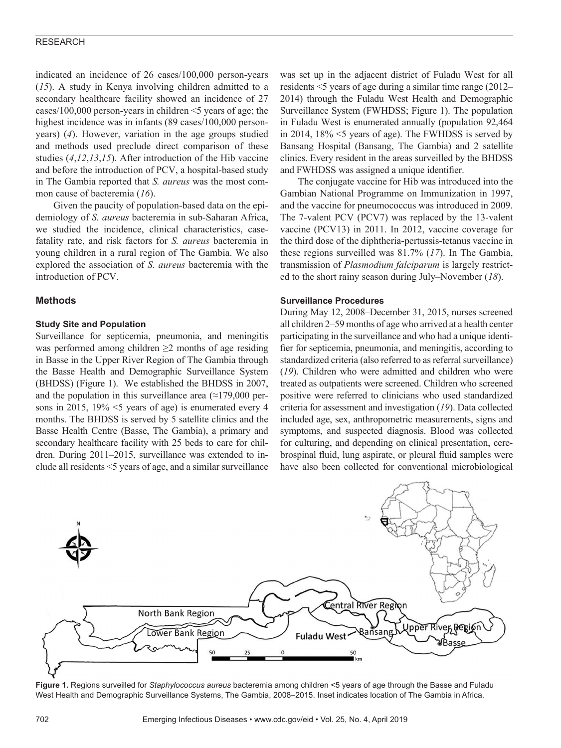## RESEARCH

indicated an incidence of 26 cases/100,000 person-years (*15*). A study in Kenya involving children admitted to a secondary healthcare facility showed an incidence of 27 cases/100,000 person-years in children <5 years of age; the highest incidence was in infants (89 cases/100,000 personyears) (*4*). However, variation in the age groups studied and methods used preclude direct comparison of these studies (*4*,*12*,*13*,*15*). After introduction of the Hib vaccine and before the introduction of PCV, a hospital-based study in The Gambia reported that *S. aureus* was the most common cause of bacteremia (*16*).

Given the paucity of population-based data on the epidemiology of *S. aureus* bacteremia in sub-Saharan Africa, we studied the incidence, clinical characteristics, casefatality rate, and risk factors for *S. aureus* bacteremia in young children in a rural region of The Gambia. We also explored the association of *S. aureus* bacteremia with the introduction of PCV.

#### **Methods**

#### **Study Site and Population**

Surveillance for septicemia, pneumonia, and meningitis was performed among children ≥2 months of age residing in Basse in the Upper River Region of The Gambia through the Basse Health and Demographic Surveillance System (BHDSS) (Figure 1). We established the BHDSS in 2007, and the population in this surveillance area  $(\approx 179,000)$  persons in 2015, 19% <5 years of age) is enumerated every 4 months. The BHDSS is served by 5 satellite clinics and the Basse Health Centre (Basse, The Gambia), a primary and secondary healthcare facility with 25 beds to care for children. During 2011–2015, surveillance was extended to include all residents <5 years of age, and a similar surveillance was set up in the adjacent district of Fuladu West for all residents <5 years of age during a similar time range (2012– 2014) through the Fuladu West Health and Demographic Surveillance System (FWHDSS; Figure 1). The population in Fuladu West is enumerated annually (population 92,464 in 2014, 18% <5 years of age). The FWHDSS is served by Bansang Hospital (Bansang, The Gambia) and 2 satellite clinics. Every resident in the areas surveilled by the BHDSS and FWHDSS was assigned a unique identifier.

The conjugate vaccine for Hib was introduced into the Gambian National Programme on Immunization in 1997, and the vaccine for pneumococcus was introduced in 2009. The 7-valent PCV (PCV7) was replaced by the 13-valent vaccine (PCV13) in 2011. In 2012, vaccine coverage for the third dose of the diphtheria-pertussis-tetanus vaccine in these regions surveilled was 81.7% (*17*). In The Gambia, transmission of *Plasmodium falciparum* is largely restricted to the short rainy season during July–November (*18*).

#### **Surveillance Procedures**

During May 12, 2008–December 31, 2015, nurses screened all children 2–59 months of age who arrived at a health center participating in the surveillance and who had a unique identifier for septicemia, pneumonia, and meningitis, according to standardized criteria (also referred to as referral surveillance) (*19*). Children who were admitted and children who were treated as outpatients were screened. Children who screened positive were referred to clinicians who used standardized criteria for assessment and investigation (*19*). Data collected included age, sex, anthropometric measurements, signs and symptoms, and suspected diagnosis. Blood was collected for culturing, and depending on clinical presentation, cerebrospinal fluid, lung aspirate, or pleural fluid samples were have also been collected for conventional microbiological



**Figure 1.** Regions surveilled for *Staphylococcus aureus* bacteremia among children <5 years of age through the Basse and Fuladu West Health and Demographic Surveillance Systems, The Gambia, 2008–2015. Inset indicates location of The Gambia in Africa.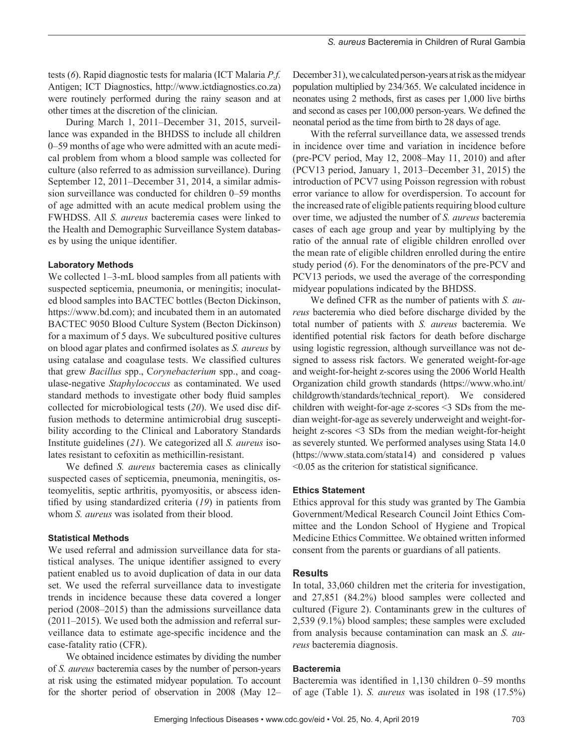tests (*6*). Rapid diagnostic tests for malaria (ICT Malaria *P.f.* Antigen; ICT Diagnostics, http://www.ictdiagnostics.co.za) were routinely performed during the rainy season and at other times at the discretion of the clinician.

During March 1, 2011–December 31, 2015, surveillance was expanded in the BHDSS to include all children 0–59 months of age who were admitted with an acute medical problem from whom a blood sample was collected for culture (also referred to as admission surveillance). During September 12, 2011–December 31, 2014, a similar admission surveillance was conducted for children 0–59 months of age admitted with an acute medical problem using the FWHDSS. All *S. aureus* bacteremia cases were linked to the Health and Demographic Surveillance System databases by using the unique identifier.

#### **Laboratory Methods**

We collected 1–3-mL blood samples from all patients with suspected septicemia, pneumonia, or meningitis; inoculated blood samples into BACTEC bottles (Becton Dickinson, https://www.bd.com); and incubated them in an automated BACTEC 9050 Blood Culture System (Becton Dickinson) for a maximum of 5 days. We subcultured positive cultures on blood agar plates and confirmed isolates as *S. aureus* by using catalase and coagulase tests. We classified cultures that grew *Bacillus* spp., C*orynebacterium* spp., and coagulase-negative *Staphylococcus* as contaminated. We used standard methods to investigate other body fluid samples collected for microbiological tests (*20*). We used disc diffusion methods to determine antimicrobial drug susceptibility according to the Clinical and Laboratory Standards Institute guidelines (*21*). We categorized all *S. aureus* isolates resistant to cefoxitin as methicillin-resistant.

We defined *S. aureus* bacteremia cases as clinically suspected cases of septicemia, pneumonia, meningitis, osteomyelitis, septic arthritis, pyomyositis, or abscess identified by using standardized criteria (*19*) in patients from whom *S. aureus* was isolated from their blood.

### **Statistical Methods**

We used referral and admission surveillance data for statistical analyses. The unique identifier assigned to every patient enabled us to avoid duplication of data in our data set. We used the referral surveillance data to investigate trends in incidence because these data covered a longer period (2008–2015) than the admissions surveillance data (2011–2015). We used both the admission and referral surveillance data to estimate age-specific incidence and the case-fatality ratio (CFR).

We obtained incidence estimates by dividing the number of *S. aureus* bacteremia cases by the number of person-years at risk using the estimated midyear population. To account for the shorter period of observation in 2008 (May 12–

December 31), we calculated person-years at risk as the midyear population multiplied by 234/365. We calculated incidence in neonates using 2 methods, first as cases per 1,000 live births and second as cases per 100,000 person-years. We defined the neonatal period as the time from birth to 28 days of age.

With the referral surveillance data, we assessed trends in incidence over time and variation in incidence before (pre-PCV period, May 12, 2008–May 11, 2010) and after (PCV13 period, January 1, 2013–December 31, 2015) the introduction of PCV7 using Poisson regression with robust error variance to allow for overdispersion. To account for the increased rate of eligible patients requiring blood culture over time, we adjusted the number of *S. aureus* bacteremia cases of each age group and year by multiplying by the ratio of the annual rate of eligible children enrolled over the mean rate of eligible children enrolled during the entire study period (*6*). For the denominators of the pre-PCV and PCV13 periods, we used the average of the corresponding midyear populations indicated by the BHDSS.

We defined CFR as the number of patients with *S. aureus* bacteremia who died before discharge divided by the total number of patients with *S. aureus* bacteremia. We identified potential risk factors for death before discharge using logistic regression, although surveillance was not designed to assess risk factors. We generated weight-for-age and weight-for-height z-scores using the 2006 World Health Organization child growth standards (https://www.who.int/ childgrowth/standards/technical\_report). We considered children with weight-for-age z-scores <3 SDs from the median weight-for-age as severely underweight and weight-forheight z-scores <3 SDs from the median weight-for-height as severely stunted. We performed analyses using Stata 14.0 (https://www.stata.com/stata14) and considered p values <0.05 as the criterion for statistical significance.

#### **Ethics Statement**

Ethics approval for this study was granted by The Gambia Government/Medical Research Council Joint Ethics Committee and the London School of Hygiene and Tropical Medicine Ethics Committee. We obtained written informed consent from the parents or guardians of all patients.

## **Results**

In total, 33,060 children met the criteria for investigation, and 27,851 (84.2%) blood samples were collected and cultured (Figure 2). Contaminants grew in the cultures of 2,539 (9.1%) blood samples; these samples were excluded from analysis because contamination can mask an *S. aureus* bacteremia diagnosis.

## **Bacteremia**

Bacteremia was identified in 1,130 children 0–59 months of age (Table 1). *S. aureus* was isolated in 198 (17.5%)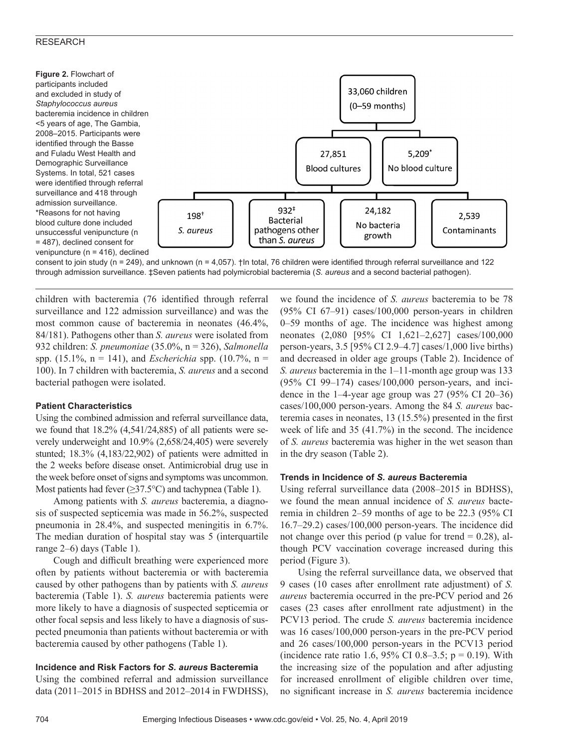## RESEARCH

**Figure 2.** Flowchart of participants included 33,060 children and excluded in study of *Staphylococcus aureus* (0-59 months) bacteremia incidence in children <5 years of age, The Gambia, 2008–2015. Participants were identified through the Basse 27,851  $5.209*$ and Fuladu West Health and Demographic Surveillance No blood culture **Blood cultures** Systems. In total, 521 cases were identified through referral surveillance and 418 through admission surveillance. 932<sup>‡</sup> 24,182 \*Reasons for not having  $198^{+}$ 2,539 **Bacterial** blood culture done included No bacteria S. aureus pathogens other Contaminants unsuccessful venipuncture (n growth than S. aureus = 487), declined consent for venipuncture (n = 416), declined

consent to join study (n = 249), and unknown (n = 4,057). †In total, 76 children were identified through referral surveillance and 122 through admission surveillance. ‡Seven patients had polymicrobial bacteremia (*S. aureus* and a second bacterial pathogen).

children with bacteremia (76 identified through referral surveillance and 122 admission surveillance) and was the most common cause of bacteremia in neonates (46.4%, 84/181). Pathogens other than *S. aureus* were isolated from 932 children: *S. pneumoniae* (35.0%, n = 326), *Salmonella*  spp. (15.1%, n = 141), and *Escherichia* spp. (10.7%, n = 100). In 7 children with bacteremia, *S. aureus* and a second bacterial pathogen were isolated.

### **Patient Characteristics**

Using the combined admission and referral surveillance data, we found that 18.2% (4,541/24,885) of all patients were severely underweight and 10.9% (2,658/24,405) were severely stunted; 18.3% (4,183/22,902) of patients were admitted in the 2 weeks before disease onset. Antimicrobial drug use in the week before onset of signs and symptoms was uncommon. Most patients had fever  $(\geq)37.5^{\circ}$ C) and tachypnea (Table 1).

Among patients with *S. aureus* bacteremia, a diagnosis of suspected septicemia was made in 56.2%, suspected pneumonia in 28.4%, and suspected meningitis in 6.7%. The median duration of hospital stay was 5 (interquartile range 2–6) days (Table 1).

Cough and difficult breathing were experienced more often by patients without bacteremia or with bacteremia caused by other pathogens than by patients with *S. aureus* bacteremia (Table 1). *S. aureus* bacteremia patients were more likely to have a diagnosis of suspected septicemia or other focal sepsis and less likely to have a diagnosis of suspected pneumonia than patients without bacteremia or with bacteremia caused by other pathogens (Table 1).

### **Incidence and Risk Factors for** *S. aureus* **Bacteremia**

Using the combined referral and admission surveillance data (2011–2015 in BDHSS and 2012–2014 in FWDHSS),

we found the incidence of *S. aureus* bacteremia to be 78 (95% CI 67–91) cases/100,000 person-years in children 0–59 months of age. The incidence was highest among neonates (2,080 [95% CI 1,621–2,627] cases/100,000 person-years, 3.5 [95% CI 2.9–4.7] cases/1,000 live births) and decreased in older age groups (Table 2). Incidence of *S. aureus* bacteremia in the 1–11-month age group was 133 (95% CI 99–174) cases/100,000 person-years, and incidence in the 1–4-year age group was 27 (95% CI 20–36) cases/100,000 person-years. Among the 84 *S. aureus* bacteremia cases in neonates, 13 (15.5%) presented in the first week of life and 35 (41.7%) in the second. The incidence of *S. aureus* bacteremia was higher in the wet season than in the dry season (Table 2).

### **Trends in Incidence of** *S. aureus* **Bacteremia**

Using referral surveillance data (2008–2015 in BDHSS), we found the mean annual incidence of *S. aureus* bacteremia in children 2–59 months of age to be 22.3 (95% CI 16.7–29.2) cases/100,000 person-years. The incidence did not change over this period (p value for trend  $= 0.28$ ), although PCV vaccination coverage increased during this period (Figure 3).

Using the referral surveillance data, we observed that 9 cases (10 cases after enrollment rate adjustment) of *S. aureus* bacteremia occurred in the pre-PCV period and 26 cases (23 cases after enrollment rate adjustment) in the PCV13 period. The crude *S. aureus* bacteremia incidence was 16 cases/100,000 person-years in the pre-PCV period and 26 cases/100,000 person-years in the PCV13 period (incidence rate ratio 1.6, 95% CI 0.8–3.5;  $p = 0.19$ ). With the increasing size of the population and after adjusting for increased enrollment of eligible children over time, no significant increase in *S. aureus* bacteremia incidence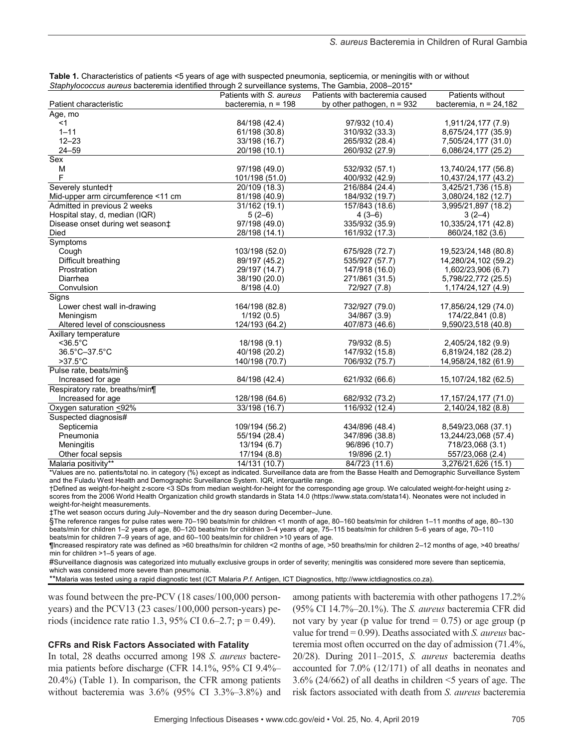|                                                                                                                |  |  |  | Table 1. Characteristics of patients <5 years of age with suspected pneumonia, septicemia, or meningitis with or without |
|----------------------------------------------------------------------------------------------------------------|--|--|--|--------------------------------------------------------------------------------------------------------------------------|
| Staphylococcus aureus bacteremia identified through 2 surveillance systems, The Gambia, 2008–2015 <sup>*</sup> |  |  |  |                                                                                                                          |

|                                              | Patients with S. aureus | Patients with bacteremia caused | Patients without         |
|----------------------------------------------|-------------------------|---------------------------------|--------------------------|
| Patient characteristic                       | bacteremia, $n = 198$   | by other pathogen, $n = 932$    | bacteremia, $n = 24,182$ |
| Age, mo                                      |                         |                                 |                          |
| <1                                           | 84/198 (42.4)           | 97/932 (10.4)                   | 1,911/24,177 (7.9)       |
| $1 - 11$                                     | 61/198 (30.8)           | 310/932 (33.3)                  | 8,675/24,177 (35.9)      |
| $12 - 23$                                    | 33/198 (16.7)           | 265/932 (28.4)                  | 7,505/24,177 (31.0)      |
| $24 - 59$                                    | 20/198 (10.1)           | 260/932 (27.9)                  | 6,086/24,177 (25.2)      |
| Sex                                          |                         |                                 |                          |
| M                                            | 97/198 (49.0)           | 532/932 (57.1)                  | 13,740/24,177 (56.8)     |
| F                                            | 101/198 (51.0)          | 400/932 (42.9)                  | 10,437/24,177 (43.2)     |
| Severely stunted†                            | 20/109 (18.3)           | 216/884 (24.4)                  | 3,425/21,736(15.8)       |
| Mid-upper arm circumference <11 cm           | 81/198 (40.9)           | 184/932 (19.7)                  | 3,080/24,182 (12.7)      |
| Admitted in previous 2 weeks                 | 31/162 (19.1)           | 157/843 (18.6)                  | 3,995/21,897 (18.2)      |
| Hospital stay, d, median (IQR)               | $5(2-6)$                | $4(3-6)$                        | $3(2-4)$                 |
| Disease onset during wet season <sup>+</sup> | 97/198 (49.0)           | 335/932 (35.9)                  | 10,335/24,171 (42.8)     |
| <b>Died</b>                                  | 28/198 (14.1)           | 161/932 (17.3)                  | 860/24,182 (3.6)         |
| Symptoms                                     |                         |                                 |                          |
| Cough                                        | 103/198 (52.0)          | 675/928 (72.7)                  | 19,523/24,148 (80.8)     |
| Difficult breathing                          | 89/197 (45.2)           | 535/927 (57.7)                  | 14,280/24,102 (59.2)     |
| Prostration                                  | 29/197 (14.7)           | 147/918 (16.0)                  | 1,602/23,906 (6.7)       |
| Diarrhea                                     | 38/190 (20.0)           | 271/861 (31.5)                  | 5,798/22,772 (25.5)      |
| Convulsion                                   | 8/198(4.0)              | 72/927 (7.8)                    | 1,174/24,127 (4.9)       |
| Signs                                        |                         |                                 |                          |
| Lower chest wall in-drawing                  | 164/198 (82.8)          | 732/927 (79.0)                  | 17,856/24,129 (74.0)     |
| Meningism                                    | 1/192(0.5)              | 34/867 (3.9)                    | 174/22,841 (0.8)         |
| Altered level of consciousness               | 124/193 (64.2)          | 407/873 (46.6)                  | 9,590/23,518 (40.8)      |
| Axillary temperature                         |                         |                                 |                          |
| $<$ 36.5 $^{\circ}$ C                        | 18/198 (9.1)            | 79/932 (8.5)                    | 2,405/24,182 (9.9)       |
| 36.5°C-37.5°C                                | 40/198 (20.2)           | 147/932 (15.8)                  | 6,819/24,182 (28.2)      |
| $>37.5^{\circ}$ C                            | 140/198 (70.7)          | 706/932 (75.7)                  | 14,958/24,182 (61.9)     |
| Pulse rate, beats/min§                       |                         |                                 |                          |
| Increased for age                            | 84/198 (42.4)           | 621/932 (66.6)                  | 15, 107/24, 182 (62.5)   |
| Respiratory rate, breaths/min¶               |                         |                                 |                          |
| Increased for age                            | 128/198 (64.6)          | 682/932 (73.2)                  | 17, 157/24, 177 (71.0)   |
| Oxygen saturation <92%                       | 33/198 (16.7)           | 116/932 (12.4)                  | 2,140/24,182 (8.8)       |
| Suspected diagnosis#                         |                         |                                 |                          |
| Septicemia                                   | 109/194 (56.2)          | 434/896 (48.4)                  | 8,549/23,068 (37.1)      |
| Pneumonia                                    | 55/194 (28.4)           | 347/896 (38.8)                  | 13,244/23,068 (57.4)     |
| Meningitis                                   | 13/194 (6.7)            | 96/896 (10.7)                   | 718/23,068 (3.1)         |
| Other focal sepsis                           | 17/194 (8.8)            | 19/896 (2.1)                    | 557/23,068 (2.4)         |
| Malaria positivity**                         | 14/131 (10.7)           | 84/723 (11.6)                   | 3,276/21,626 (15.1)      |

\*Values are no. patients/total no. in category (%) except as indicated. Surveillance data are from the Basse Health and Demographic Surveillance System and the Fuladu West Health and Demographic Surveillance System. IQR, interquartile range.

†Defined as weight-for-height z-score <3 SDs from median weight-for-height for the corresponding age group. We calculated weight-for-height using zscores from the 2006 World Health Organization child growth standards in Stata 14.0 (https://www.stata.com/stata14). Neonates were not included in weight-for-height measurements.

‡The wet season occurs during July–November and the dry season during December–June.

§The reference ranges for pulse rates were 70–190 beats/min for children <1 month of age, 80–160 beats/min for children 1–11 months of age, 80–130 beats/min for children 1–2 years of age, 80–120 beats/min for children 3–4 years of age, 75–115 beats/min for children 5–6 years of age, 70–110 beats/min for children 7–9 years of age, and 60–100 beats/min for children >10 years of age.

¶Increased respiratory rate was defined as >60 breaths/min for children <2 months of age, >50 breaths/min for children 2–12 months of age, >40 breaths/ min for children >1–5 years of age.

#Surveillance diagnosis was categorized into mutually exclusive groups in order of severity; meningitis was considered more severe than septicemia, which was considered more severe than pneumonia.

\*\*Malaria was tested using a rapid diagnostic test (ICT Malaria *P.f.* Antigen, ICT Diagnostics, http://www.ictdiagnostics.co.za).

was found between the pre-PCV (18 cases/100,000 personyears) and the PCV13 (23 cases/100,000 person-years) periods (incidence rate ratio 1.3, 95% CI 0.6–2.7;  $p = 0.49$ ).

### **CFRs and Risk Factors Associated with Fatality**

In total, 28 deaths occurred among 198 *S. aureus* bacteremia patients before discharge (CFR 14.1%, 95% CI 9.4%– 20.4%) (Table 1). In comparison, the CFR among patients without bacteremia was 3.6% (95% CI 3.3%–3.8%) and among patients with bacteremia with other pathogens 17.2% (95% CI 14.7%–20.1%). The *S. aureus* bacteremia CFR did not vary by year (p value for trend  $= 0.75$ ) or age group (p value for trend = 0.99). Deaths associated with *S. aureus* bacteremia most often occurred on the day of admission (71.4%, 20/28). During 2011–2015, *S. aureus* bacteremia deaths accounted for 7.0% (12/171) of all deaths in neonates and 3.6% (24/662) of all deaths in children <5 years of age. The risk factors associated with death from *S. aureus* bacteremia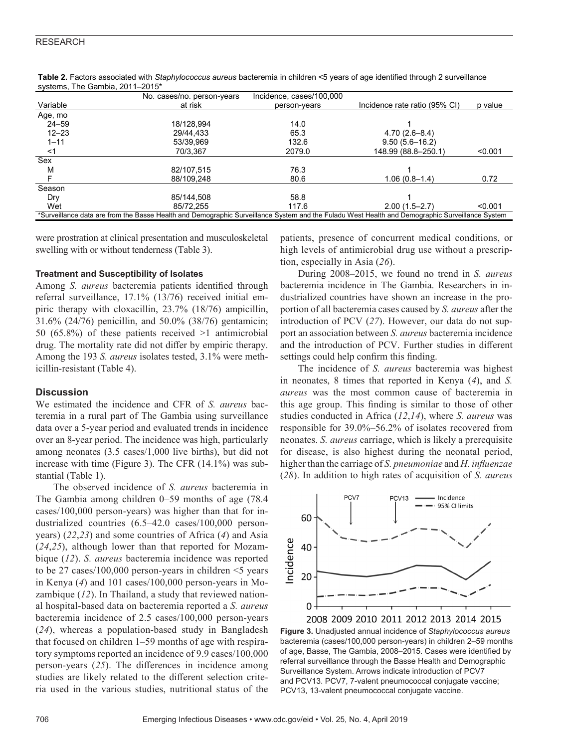|                                                                                                                                                 | No. cases/no. person-years | Incidence, cases/100,000 |                               |         |  |  |  |
|-------------------------------------------------------------------------------------------------------------------------------------------------|----------------------------|--------------------------|-------------------------------|---------|--|--|--|
| Variable                                                                                                                                        | at risk                    | person-years             | Incidence rate ratio (95% CI) | p value |  |  |  |
| Age, mo                                                                                                                                         |                            |                          |                               |         |  |  |  |
| $24 - 59$                                                                                                                                       | 18/128.994                 | 14.0                     |                               |         |  |  |  |
| $12 - 23$                                                                                                                                       | 29/44.433                  | 65.3                     | $4.70(2.6 - 8.4)$             |         |  |  |  |
| $1 - 11$                                                                                                                                        | 53/39,969                  | 132.6                    | $9.50(5.6 - 16.2)$            |         |  |  |  |
| <1                                                                                                                                              | 70/3.367                   | 2079.0                   | 148.99 (88.8-250.1)           | < 0.001 |  |  |  |
| Sex                                                                                                                                             |                            |                          |                               |         |  |  |  |
| М                                                                                                                                               | 82/107,515                 | 76.3                     |                               |         |  |  |  |
|                                                                                                                                                 | 88/109.248                 | 80.6                     | $1.06(0.8-1.4)$               | 0.72    |  |  |  |
| Season                                                                                                                                          |                            |                          |                               |         |  |  |  |
| Dry                                                                                                                                             | 85/144,508                 | 58.8                     |                               |         |  |  |  |
| Wet                                                                                                                                             | 85/72.255                  | 117.6                    | $2.00(1.5 - 2.7)$             | < 0.001 |  |  |  |
| *Surveillance data are from the Basse Health and Demographic Surveillance System and the Fuladu West Health and Demographic Surveillance System |                            |                          |                               |         |  |  |  |

**Table 2.** Factors associated with *Staphylococcus aureus* bacteremia in children <5 years of age identified through 2 surveillance systems, The Gambia, 2011–2015\*

were prostration at clinical presentation and musculoskeletal swelling with or without tenderness (Table 3).

## **Treatment and Susceptibility of Isolates**

Among *S. aureus* bacteremia patients identified through referral surveillance, 17.1% (13/76) received initial empiric therapy with cloxacillin, 23.7% (18/76) ampicillin, 31.6% (24/76) penicillin, and 50.0% (38/76) gentamicin; 50 (65.8%) of these patients received >1 antimicrobial drug. The mortality rate did not differ by empiric therapy. Among the 193 *S. aureus* isolates tested, 3.1% were methicillin-resistant (Table 4).

## **Discussion**

We estimated the incidence and CFR of *S. aureus* bacteremia in a rural part of The Gambia using surveillance data over a 5-year period and evaluated trends in incidence over an 8-year period. The incidence was high, particularly among neonates (3.5 cases/1,000 live births), but did not increase with time (Figure 3). The CFR (14.1%) was substantial (Table 1).

The observed incidence of *S. aureus* bacteremia in The Gambia among children 0–59 months of age (78.4 cases/100,000 person-years) was higher than that for industrialized countries (6.5–42.0 cases/100,000 personyears) (*22*,*23*) and some countries of Africa (*4*) and Asia (*24*,*25*), although lower than that reported for Mozambique (*12*). *S. aureus* bacteremia incidence was reported to be 27 cases/100,000 person-years in children <5 years in Kenya (*4*) and 101 cases/100,000 person-years in Mozambique (*12*). In Thailand, a study that reviewed national hospital-based data on bacteremia reported a *S. aureus* bacteremia incidence of 2.5 cases/100,000 person-years (*24*), whereas a population-based study in Bangladesh that focused on children 1–59 months of age with respiratory symptoms reported an incidence of 9.9 cases/100,000 person-years (*25*). The differences in incidence among studies are likely related to the different selection criteria used in the various studies, nutritional status of the

patients, presence of concurrent medical conditions, or high levels of antimicrobial drug use without a prescription, especially in Asia (*26*).

During 2008–2015, we found no trend in *S. aureus* bacteremia incidence in The Gambia. Researchers in industrialized countries have shown an increase in the proportion of all bacteremia cases caused by *S. aureus* after the introduction of PCV (*27*). However, our data do not support an association between *S. aureus* bacteremia incidence and the introduction of PCV. Further studies in different settings could help confirm this finding.

The incidence of *S. aureus* bacteremia was highest in neonates, 8 times that reported in Kenya (*4*), and *S. aureus* was the most common cause of bacteremia in this age group. This finding is similar to those of other studies conducted in Africa (*12*,*14*), where *S. aureus* was responsible for 39.0%–56.2% of isolates recovered from neonates. *S. aureus* carriage, which is likely a prerequisite for disease, is also highest during the neonatal period, higher than the carriage of *S. pneumoniae* and *H. influenzae* (*28*). In addition to high rates of acquisition of *S. aureus*



**Figure 3.** Unadjusted annual incidence of *Staphylococcus aureus* bacteremia (cases/100,000 person-years) in children 2–59 months of age, Basse, The Gambia, 2008–2015. Cases were identified by referral surveillance through the Basse Health and Demographic Surveillance System. Arrows indicate introduction of PCV7 and PCV13. PCV7, 7-valent pneumococcal conjugate vaccine; PCV13, 13-valent pneumococcal conjugate vaccine.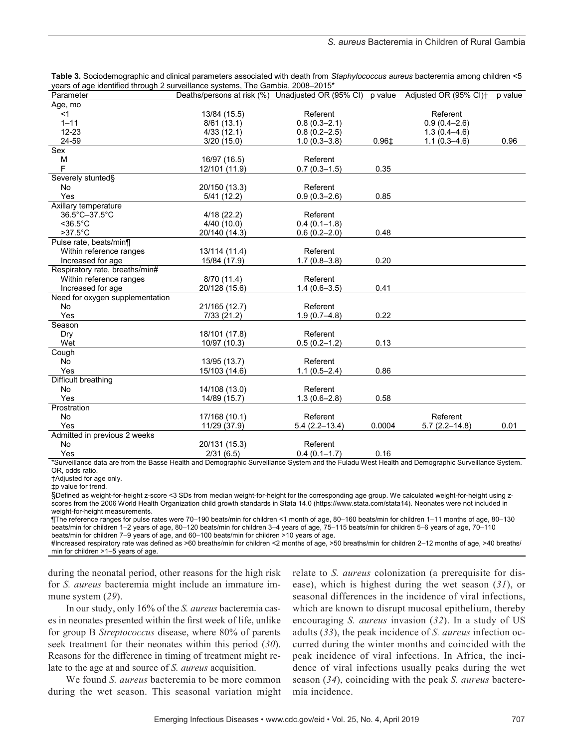| Table 3. Sociodemographic and clinical parameters associated with death from Staphylococcus aureus bacteremia among children <5 |  |  |
|---------------------------------------------------------------------------------------------------------------------------------|--|--|
| years of age identified through 2 surveillance systems, The Gambia, 2008–2015*                                                  |  |  |

| Age, mo<br>Referent<br>Referent<br>$<$ 1<br>13/84 (15.5)<br>$1 - 11$<br>8/61(13.1)<br>$0.8(0.3 - 2.1)$<br>$0.9(0.4 - 2.6)$<br>$12 - 23$<br>4/33(12.1)<br>$0.8(0.2 - 2.5)$<br>$1.3(0.4 - 4.6)$<br>24-59<br>3/20(15.0)<br>$1.0(0.3 - 3.8)$<br>0.961<br>$1.1(0.3 - 4.6)$<br>0.96<br>Sex<br>Referent<br>М<br>16/97 (16.5)<br>F<br>0.35<br>12/101 (11.9)<br>$0.7(0.3-1.5)$<br>Severely stunted§<br>20/150 (13.3)<br>Referent<br>No<br>Yes<br>5/41(12.2)<br>$0.9(0.3 - 2.6)$<br>0.85<br>Axillary temperature<br>36.5°C-37.5°C<br>4/18(22.2)<br>Referent<br>$<$ 36.5 $^{\circ}$ C<br>4/40(10.0)<br>$0.4(0.1-1.8)$ | Parameter | Deaths/persons at risk (%) Unadjusted OR (95% CI) p value Adjusted OR (95% CI)+ |  | p value |
|------------------------------------------------------------------------------------------------------------------------------------------------------------------------------------------------------------------------------------------------------------------------------------------------------------------------------------------------------------------------------------------------------------------------------------------------------------------------------------------------------------------------------------------------------------------------------------------------------------|-----------|---------------------------------------------------------------------------------|--|---------|
|                                                                                                                                                                                                                                                                                                                                                                                                                                                                                                                                                                                                            |           |                                                                                 |  |         |
|                                                                                                                                                                                                                                                                                                                                                                                                                                                                                                                                                                                                            |           |                                                                                 |  |         |
|                                                                                                                                                                                                                                                                                                                                                                                                                                                                                                                                                                                                            |           |                                                                                 |  |         |
|                                                                                                                                                                                                                                                                                                                                                                                                                                                                                                                                                                                                            |           |                                                                                 |  |         |
|                                                                                                                                                                                                                                                                                                                                                                                                                                                                                                                                                                                                            |           |                                                                                 |  |         |
|                                                                                                                                                                                                                                                                                                                                                                                                                                                                                                                                                                                                            |           |                                                                                 |  |         |
|                                                                                                                                                                                                                                                                                                                                                                                                                                                                                                                                                                                                            |           |                                                                                 |  |         |
|                                                                                                                                                                                                                                                                                                                                                                                                                                                                                                                                                                                                            |           |                                                                                 |  |         |
|                                                                                                                                                                                                                                                                                                                                                                                                                                                                                                                                                                                                            |           |                                                                                 |  |         |
|                                                                                                                                                                                                                                                                                                                                                                                                                                                                                                                                                                                                            |           |                                                                                 |  |         |
|                                                                                                                                                                                                                                                                                                                                                                                                                                                                                                                                                                                                            |           |                                                                                 |  |         |
|                                                                                                                                                                                                                                                                                                                                                                                                                                                                                                                                                                                                            |           |                                                                                 |  |         |
|                                                                                                                                                                                                                                                                                                                                                                                                                                                                                                                                                                                                            |           |                                                                                 |  |         |
|                                                                                                                                                                                                                                                                                                                                                                                                                                                                                                                                                                                                            |           |                                                                                 |  |         |
| $>37.5^{\circ}$ C<br>0.48<br>20/140 (14.3)<br>$0.6(0.2 - 2.0)$                                                                                                                                                                                                                                                                                                                                                                                                                                                                                                                                             |           |                                                                                 |  |         |
| Pulse rate, beats/min¶                                                                                                                                                                                                                                                                                                                                                                                                                                                                                                                                                                                     |           |                                                                                 |  |         |
| Within reference ranges<br>Referent<br>13/114 (11.4)                                                                                                                                                                                                                                                                                                                                                                                                                                                                                                                                                       |           |                                                                                 |  |         |
| $1.7(0.8 - 3.8)$<br>0.20<br>Increased for age<br>15/84 (17.9)                                                                                                                                                                                                                                                                                                                                                                                                                                                                                                                                              |           |                                                                                 |  |         |
| Respiratory rate, breaths/min#                                                                                                                                                                                                                                                                                                                                                                                                                                                                                                                                                                             |           |                                                                                 |  |         |
| Within reference ranges<br>8/70 (11.4)<br>Referent                                                                                                                                                                                                                                                                                                                                                                                                                                                                                                                                                         |           |                                                                                 |  |         |
| Increased for age<br>20/128 (15.6)<br>0.41<br>$1.4(0.6-3.5)$                                                                                                                                                                                                                                                                                                                                                                                                                                                                                                                                               |           |                                                                                 |  |         |
| Need for oxygen supplementation                                                                                                                                                                                                                                                                                                                                                                                                                                                                                                                                                                            |           |                                                                                 |  |         |
| No<br>21/165 (12.7)<br>Referent                                                                                                                                                                                                                                                                                                                                                                                                                                                                                                                                                                            |           |                                                                                 |  |         |
| Yes<br>0.22<br>7/33(21.2)<br>$1.9(0.7 - 4.8)$                                                                                                                                                                                                                                                                                                                                                                                                                                                                                                                                                              |           |                                                                                 |  |         |
| Season                                                                                                                                                                                                                                                                                                                                                                                                                                                                                                                                                                                                     |           |                                                                                 |  |         |
| Dry<br>18/101 (17.8)<br>Referent                                                                                                                                                                                                                                                                                                                                                                                                                                                                                                                                                                           |           |                                                                                 |  |         |
| Wet<br>10/97 (10.3)<br>$0.5(0.2 - 1.2)$<br>0.13                                                                                                                                                                                                                                                                                                                                                                                                                                                                                                                                                            |           |                                                                                 |  |         |
| Cough                                                                                                                                                                                                                                                                                                                                                                                                                                                                                                                                                                                                      |           |                                                                                 |  |         |
| Referent<br>No<br>13/95 (13.7)                                                                                                                                                                                                                                                                                                                                                                                                                                                                                                                                                                             |           |                                                                                 |  |         |
| Yes<br>15/103 (14.6)<br>0.86<br>$1.1(0.5 - 2.4)$                                                                                                                                                                                                                                                                                                                                                                                                                                                                                                                                                           |           |                                                                                 |  |         |
| Difficult breathing                                                                                                                                                                                                                                                                                                                                                                                                                                                                                                                                                                                        |           |                                                                                 |  |         |
| <b>No</b><br>14/108 (13.0)<br>Referent                                                                                                                                                                                                                                                                                                                                                                                                                                                                                                                                                                     |           |                                                                                 |  |         |
| Yes<br>14/89 (15.7)<br>0.58<br>$1.3(0.6 - 2.8)$                                                                                                                                                                                                                                                                                                                                                                                                                                                                                                                                                            |           |                                                                                 |  |         |
| Prostration                                                                                                                                                                                                                                                                                                                                                                                                                                                                                                                                                                                                |           |                                                                                 |  |         |
| Referent<br>No<br>17/168 (10.1)<br>Referent                                                                                                                                                                                                                                                                                                                                                                                                                                                                                                                                                                |           |                                                                                 |  |         |
| 11/29 (37.9)<br>Yes<br>$5.4(2.2 - 13.4)$<br>0.0004<br>$5.7(2.2 - 14.8)$<br>0.01                                                                                                                                                                                                                                                                                                                                                                                                                                                                                                                            |           |                                                                                 |  |         |
| Admitted in previous 2 weeks                                                                                                                                                                                                                                                                                                                                                                                                                                                                                                                                                                               |           |                                                                                 |  |         |
| <b>No</b><br>20/131 (15.3)<br>Referent                                                                                                                                                                                                                                                                                                                                                                                                                                                                                                                                                                     |           |                                                                                 |  |         |
| Yes<br>2/31(6.5)<br>$0.4(0.1-1.7)$<br>0.16                                                                                                                                                                                                                                                                                                                                                                                                                                                                                                                                                                 |           |                                                                                 |  |         |

\*Surveillance data are from the Basse Health and Demographic Surveillance System and the Fuladu West Health and Demographic Surveillance System. OR, odds ratio.

†Adjusted for age only.

‡p value for trend.

§Defined as weight-for-height z-score <3 SDs from median weight-for-height for the corresponding age group. We calculated weight-for-height using zscores from the 2006 World Health Organization child growth standards in Stata 14.0 (https://www.stata.com/stata14). Neonates were not included in weight-for-height measurements.

¶The reference ranges for pulse rates were 70–190 beats/min for children <1 month of age, 80–160 beats/min for children 1–11 months of age, 80–130 beats/min for children 1–2 years of age, 80–120 beats/min for children 3–4 years of age, 75–115 beats/min for children 5–6 years of age, 70–110 beats/min for children 7–9 years of age, and 60–100 beats/min for children >10 years of age.

#Increased respiratory rate was defined as >60 breaths/min for children <2 months of age, >50 breaths/min for children 2–12 months of age, >40 breaths/ min for children >1–5 years of age.

during the neonatal period, other reasons for the high risk for *S. aureus* bacteremia might include an immature immune system (*29*).

In our study, only 16% of the *S. aureus* bacteremia cases in neonates presented within the first week of life, unlike for group B *Streptococcus* disease, where 80% of parents seek treatment for their neonates within this period (*30*). Reasons for the difference in timing of treatment might relate to the age at and source of *S. aureus* acquisition.

We found *S. aureus* bacteremia to be more common during the wet season. This seasonal variation might

relate to *S. aureus* colonization (a prerequisite for disease), which is highest during the wet season (*31*), or seasonal differences in the incidence of viral infections, which are known to disrupt mucosal epithelium, thereby encouraging *S. aureus* invasion (*32*). In a study of US adults (*33*), the peak incidence of *S. aureus* infection occurred during the winter months and coincided with the peak incidence of viral infections. In Africa, the incidence of viral infections usually peaks during the wet season (*34*), coinciding with the peak *S. aureus* bacteremia incidence.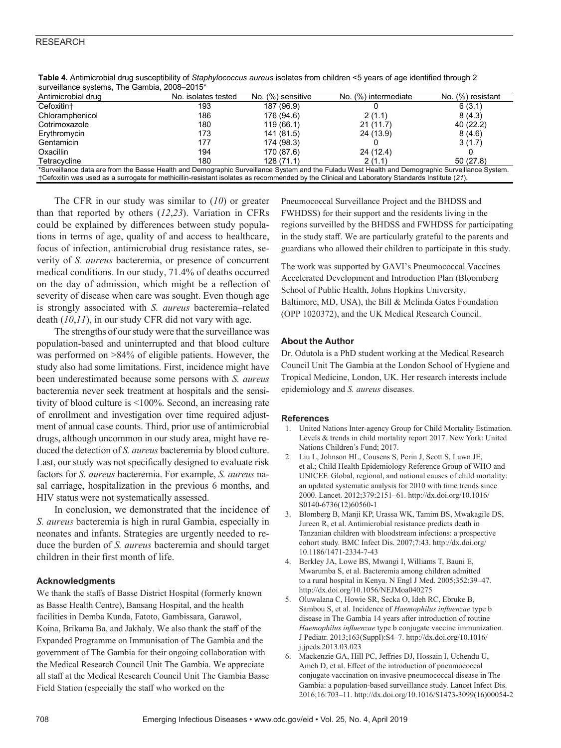## RESEARCH

| 301 VUINCITUD 3 VULTIUS, THE ORITIDIO, ZUUU-ZU IU                                                                                                |                     |                   |                      |                   |  |  |  |
|--------------------------------------------------------------------------------------------------------------------------------------------------|---------------------|-------------------|----------------------|-------------------|--|--|--|
| Antimicrobial drug                                                                                                                               | No. isolates tested | No. (%) sensitive | No. (%) intermediate | No. (%) resistant |  |  |  |
| Cefoxitin+                                                                                                                                       | 193                 | 187 (96.9)        |                      | 6(3.1)            |  |  |  |
| Chloramphenicol                                                                                                                                  | 186                 | 176 (94.6)        | 2(1.1)               | 8(4.3)            |  |  |  |
| Cotrimoxazole                                                                                                                                    | 180                 | 119 (66.1)        | 21(11.7)             | 40(22.2)          |  |  |  |
| Erythromycin                                                                                                                                     | 173                 | 141 (81.5)        | 24 (13.9)            | 8(4.6)            |  |  |  |
| Gentamicin                                                                                                                                       | 177                 | 174 (98.3)        |                      | 3(1.7)            |  |  |  |
| Oxacillin                                                                                                                                        | 194                 | 170 (87.6)        | 24(12.4)             |                   |  |  |  |
| Tetracycline                                                                                                                                     | 180                 | 128 (71.1)        | 2(1.1)               | 50(27.8)          |  |  |  |
| *Surveillance data are from the Basse Health and Demographic Surveillance System and the Fuladu West Health and Demographic Surveillance System. |                     |                   |                      |                   |  |  |  |
| †Cefoxitin was used as a surrogate for methicillin-resistant isolates as recommended by the Clinical and Laboratory Standards Institute (21).    |                     |                   |                      |                   |  |  |  |

**Table 4.** Antimicrobial drug susceptibility of *Staphylococcus aureus* isolates from children <5 years of age identified through 2 surveillance systems, The Gambia, 2008–2015\*

The CFR in our study was similar to (*10*) or greater than that reported by others (*12*,*23*). Variation in CFRs could be explained by differences between study populations in terms of age, quality of and access to healthcare, focus of infection, antimicrobial drug resistance rates, severity of *S. aureus* bacteremia, or presence of concurrent medical conditions. In our study, 71.4% of deaths occurred on the day of admission, which might be a reflection of severity of disease when care was sought. Even though age is strongly associated with *S. aureus* bacteremia–related death (*10*,*11*), in our study CFR did not vary with age.

The strengths of our study were that the surveillance was population-based and uninterrupted and that blood culture was performed on >84% of eligible patients. However, the study also had some limitations. First, incidence might have been underestimated because some persons with *S. aureus* bacteremia never seek treatment at hospitals and the sensitivity of blood culture is <100%. Second, an increasing rate of enrollment and investigation over time required adjustment of annual case counts. Third, prior use of antimicrobial drugs, although uncommon in our study area, might have reduced the detection of *S. aureus* bacteremia by blood culture. Last, our study was not specifically designed to evaluate risk factors for *S. aureus* bacteremia. For example, *S. aureus* nasal carriage, hospitalization in the previous 6 months, and HIV status were not systematically assessed.

In conclusion, we demonstrated that the incidence of *S. aureus* bacteremia is high in rural Gambia, especially in neonates and infants. Strategies are urgently needed to reduce the burden of *S. aureus* bacteremia and should target children in their first month of life.

### **Acknowledgments**

We thank the staffs of Basse District Hospital (formerly known as Basse Health Centre), Bansang Hospital, and the health facilities in Demba Kunda, Fatoto, Gambissara, Garawol, Koina, Brikama Ba, and Jakhaly. We also thank the staff of the Expanded Programme on Immunisation of The Gambia and the government of The Gambia for their ongoing collaboration with the Medical Research Council Unit The Gambia. We appreciate all staff at the Medical Research Council Unit The Gambia Basse Field Station (especially the staff who worked on the

Pneumococcal Surveillance Project and the BHDSS and FWHDSS) for their support and the residents living in the regions surveilled by the BHDSS and FWHDSS for participating in the study staff. We are particularly grateful to the parents and guardians who allowed their children to participate in this study.

The work was supported by GAVI's Pneumococcal Vaccines Accelerated Development and Introduction Plan (Bloomberg School of Public Health, Johns Hopkins University, Baltimore, MD, USA), the Bill & Melinda Gates Foundation (OPP 1020372), and the UK Medical Research Council.

## **About the Author**

Dr. Odutola is a PhD student working at the Medical Research Council Unit The Gambia at the London School of Hygiene and Tropical Medicine, London, UK. Her research interests include epidemiology and *S. aureus* diseases.

### **References**

- 1. United Nations Inter-agency Group for Child Mortality Estimation. Levels & trends in child mortality report 2017. New York: United Nations Children's Fund; 2017.
- 2. Liu L, Johnson HL, Cousens S, Perin J, Scott S, Lawn JE, et al.; Child Health Epidemiology Reference Group of WHO and UNICEF. Global, regional, and national causes of child mortality: an updated systematic analysis for 2010 with time trends since 2000. Lancet. 2012;379:2151–61. http://dx.doi.org/10.1016/ S0140-6736(12)60560-1
- 3. Blomberg B, Manji KP, Urassa WK, Tamim BS, Mwakagile DS, Jureen R, et al. Antimicrobial resistance predicts death in Tanzanian children with bloodstream infections: a prospective cohort study. BMC Infect Dis. 2007;7:43. http://dx.doi.org/ 10.1186/1471-2334-7-43
- 4. Berkley JA, Lowe BS, Mwangi I, Williams T, Bauni E, Mwarumba S, et al. Bacteremia among children admitted to a rural hospital in Kenya. N Engl J Med. 2005;352:39–47. http://dx.doi.org/10.1056/NEJMoa040275
- 5. Oluwalana C, Howie SR, Secka O, Ideh RC, Ebruke B, Sambou S, et al. Incidence of *Haemophilus influenzae* type b disease in The Gambia 14 years after introduction of routine *Haemophilus influenzae* type b conjugate vaccine immunization. J Pediatr. 2013;163(Suppl):S4–7. http://dx.doi.org/10.1016/ j.jpeds.2013.03.023
- 6. Mackenzie GA, Hill PC, Jeffries DJ, Hossain I, Uchendu U, Ameh D, et al. Effect of the introduction of pneumococcal conjugate vaccination on invasive pneumococcal disease in The Gambia: a population-based surveillance study. Lancet Infect Dis. 2016;16:703–11. http://dx.doi.org/10.1016/S1473-3099(16)00054-2